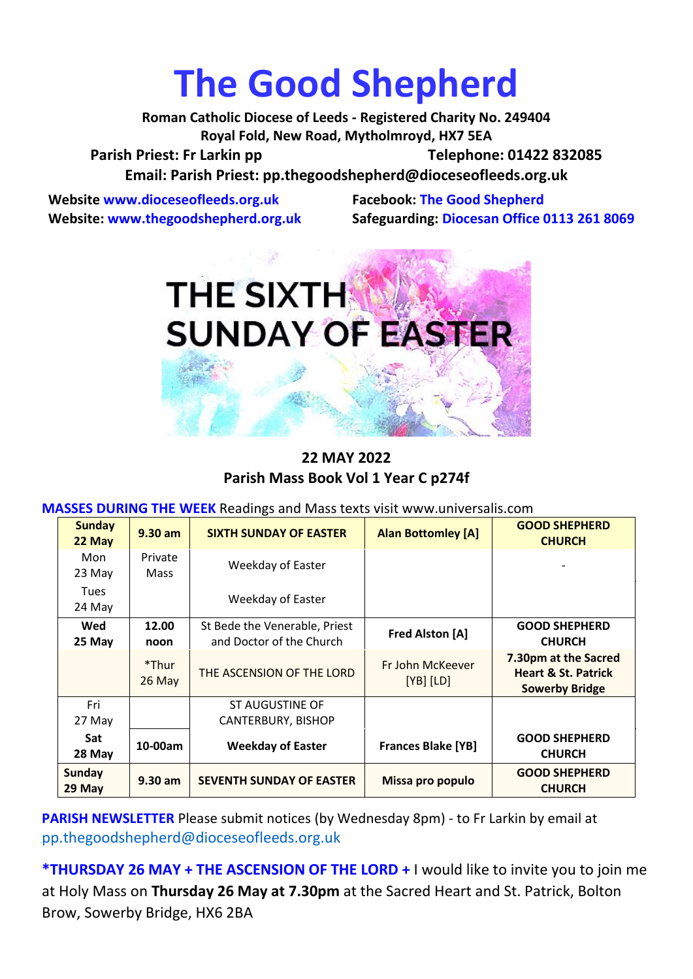# **The Good Shepherd**

**Roman Catholic Diocese of Leeds - Registered Charity No. 249404 Royal Fold, New Road, Mytholmroyd, HX7 5EA** Parish Priest: Fr Larkin pp Telephone: 01422 832085 **Email: Parish Priest: [pp.thegoodshepherd@dioceseofleeds.org.uk](http://Name:%C2%A0pp.thegoodshepherd@dioceseofleeds.org.uk/)**

**Website www.dioceseofleeds.org.uk Facebook: The Good Shepherd**

**Website: www.thegoodshepherd.org.uk Safeguarding: Diocesan Office 0113 261 8069**



**22 MAY 2022 Parish Mass Book Vol 1 Year C p274f**

**MASSES DURING THE WEEK** Readings and Mass texts visit www.universalis.com

| <b>Sunday</b><br>22 May | $9.30$ am       | <b>SIXTH SUNDAY OF EASTER</b>                             | <b>Alan Bottomley [A]</b>         | <b>GOOD SHEPHERD</b><br><b>CHURCH</b>                                           |
|-------------------------|-----------------|-----------------------------------------------------------|-----------------------------------|---------------------------------------------------------------------------------|
| Mon                     | Private         | Weekday of Easter                                         |                                   |                                                                                 |
| 23 May                  | Mass            |                                                           |                                   |                                                                                 |
| <b>Tues</b>             |                 | Weekday of Easter                                         |                                   |                                                                                 |
| 24 May                  |                 |                                                           |                                   |                                                                                 |
| Wed<br>25 May           | 12.00<br>noon   | St Bede the Venerable, Priest<br>and Doctor of the Church | <b>Fred Alston [A]</b>            | <b>GOOD SHEPHERD</b><br><b>CHURCH</b>                                           |
|                         | *Thur<br>26 May | THE ASCENSION OF THE LORD                                 | Fr John McKeever<br>$[YB]$ $[LD]$ | 7.30pm at the Sacred<br><b>Heart &amp; St. Patrick</b><br><b>Sowerby Bridge</b> |
| Fri                     |                 | ST AUGUSTINE OF                                           |                                   |                                                                                 |
| 27 May                  |                 | CANTERBURY, BISHOP                                        |                                   |                                                                                 |
| <b>Sat</b><br>28 May    | 10-00am         | <b>Weekday of Easter</b>                                  | <b>Frances Blake [YB]</b>         | <b>GOOD SHEPHERD</b><br><b>CHURCH</b>                                           |
| Sunday<br>29 May        | $9.30$ am       | <b>SEVENTH SUNDAY OF EASTER</b>                           | Missa pro populo                  | <b>GOOD SHEPHERD</b><br><b>CHURCH</b>                                           |

**PARISH NEWSLETTER** Please submit notices (by Wednesday 8pm) - to Fr Larkin by email at pp.thegoodshepherd@dioceseofleeds.org.uk

**\*THURSDAY 26 MAY + THE ASCENSION OF THE LORD +** I would like to invite you to join me at Holy Mass on **Thursday 26 May at 7.30pm** at the Sacred Heart and St. Patrick, Bolton Brow, Sowerby Bridge, HX6 2BA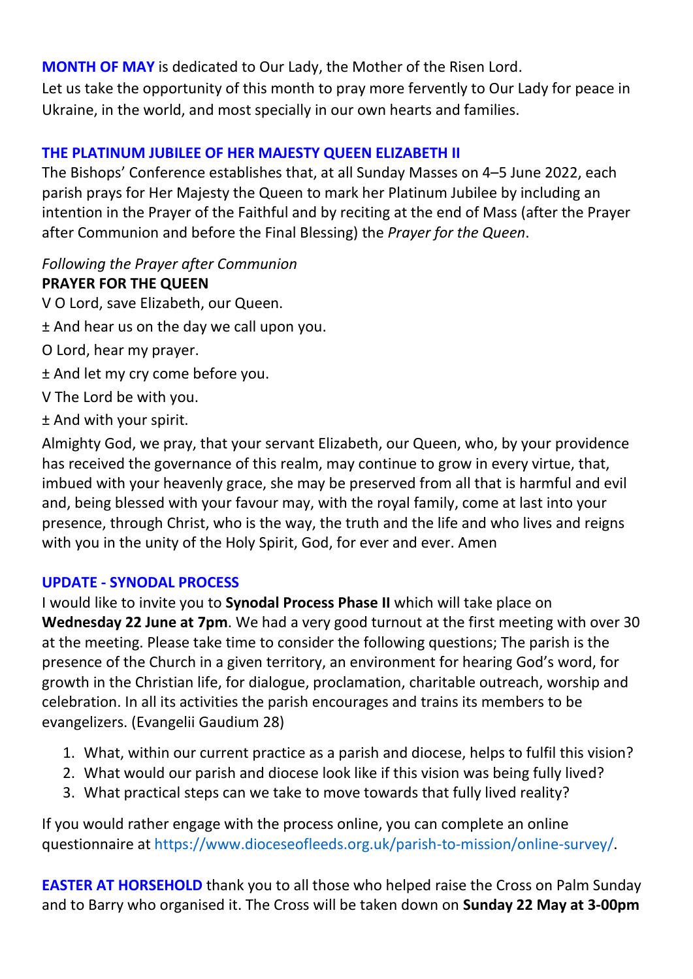**MONTH OF MAY** is dedicated to Our Lady, the Mother of the Risen Lord. Let us take the opportunity of this month to pray more fervently to Our Lady for peace in Ukraine, in the world, and most specially in our own hearts and families.

# **THE PLATINUM JUBILEE OF HER MAJESTY QUEEN ELIZABETH II**

The Bishops' Conference establishes that, at all Sunday Masses on 4–5 June 2022, each parish prays for Her Majesty the Queen to mark her Platinum Jubilee by including an intention in the Prayer of the Faithful and by reciting at the end of Mass (after the Prayer after Communion and before the Final Blessing) the *Prayer for the Queen*.

# *Following the Prayer after Communion*

# **PRAYER FOR THE QUEEN**

- V O Lord, save Elizabeth, our Queen.
- ± And hear us on the day we call upon you.
- O Lord, hear my prayer.
- ± And let my cry come before you.
- V The Lord be with you.
- ± And with your spirit.

Almighty God, we pray, that your servant Elizabeth, our Queen, who, by your providence has received the governance of this realm, may continue to grow in every virtue, that, imbued with your heavenly grace, she may be preserved from all that is harmful and evil and, being blessed with your favour may, with the royal family, come at last into your presence, through Christ, who is the way, the truth and the life and who lives and reigns with you in the unity of the Holy Spirit, God, for ever and ever. Amen

# **UPDATE - SYNODAL PROCESS**

I would like to invite you to **Synodal Process Phase II** which will take place on **Wednesday 22 June at 7pm**. We had a very good turnout at the first meeting with over 30 at the meeting. Please take time to consider the following questions; The parish is the presence of the Church in a given territory, an environment for hearing God's word, for growth in the Christian life, for dialogue, proclamation, charitable outreach, worship and celebration. In all its activities the parish encourages and trains its members to be evangelizers. (Evangelii Gaudium 28)

- 1. What, within our current practice as a parish and diocese, helps to fulfil this vision?
- 2. What would our parish and diocese look like if this vision was being fully lived?
- 3. What practical steps can we take to move towards that fully lived reality?

If you would rather engage with the process online, you can complete an online questionnaire at [https://www.dioceseofleeds.org.uk/parish-to-mission/online-survey/.](https://www.dioceseofleeds.org.uk/parish-to-mission/online-survey/)

**EASTER AT HORSEHOLD** thank you to all those who helped raise the Cross on Palm Sunday and to Barry who organised it. The Cross will be taken down on **Sunday 22 May at 3-00pm**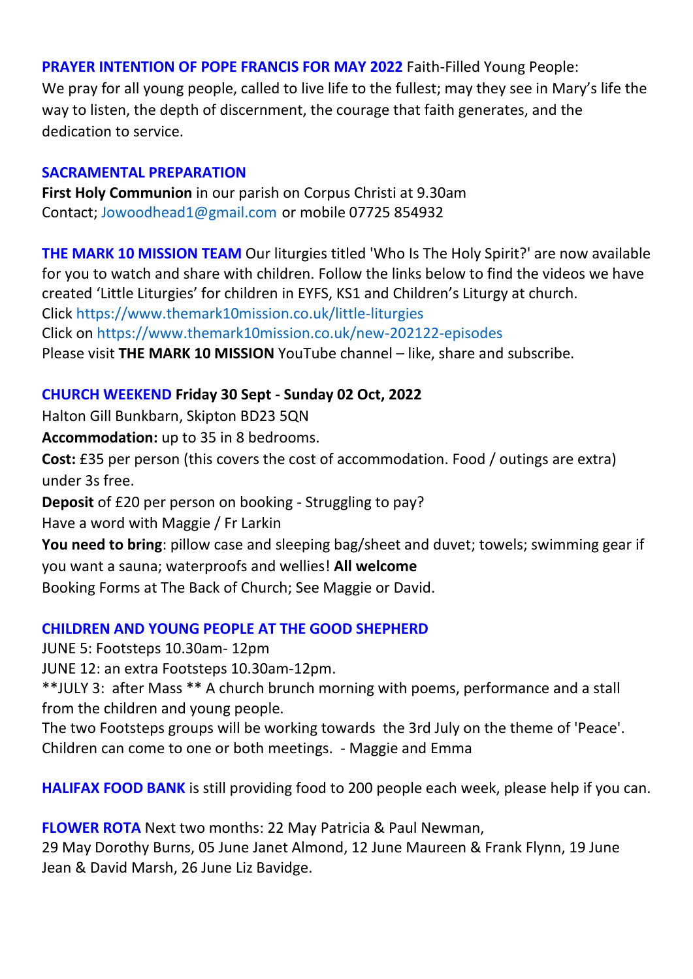### **PRAYER INTENTION OF POPE FRANCIS FOR MAY 2022** Faith-Filled Young People:

We pray for all young people, called to live life to the fullest; may they see in Mary's life the way to listen, the depth of discernment, the courage that faith generates, and the dedication to service.

#### **SACRAMENTAL PREPARATION**

**First Holy Communion** in our parish on Corpus Christi at 9.30am Contact; Jowoodhead1@gmail.com or mobile 07725 854932

**THE MARK 10 MISSION TEAM** Our liturgies titled 'Who Is The Holy Spirit?' are now available for you to watch and share with children. Follow the links below to find the videos we have created 'Little Liturgies' for children in EYFS, KS1 and Children's Liturgy at church. Click <https://www.themark10mission.co.uk/little-liturgies> Click on <https://www.themark10mission.co.uk/new-202122-episodes> Please visit **THE MARK 10 MISSION** YouTube channel – like, share and subscribe.

# **CHURCH WEEKEND Friday 30 Sept - Sunday 02 Oct, 2022**

Halton Gill Bunkbarn, Skipton BD23 5QN

**Accommodation:** up to 35 in 8 bedrooms.

**Cost:** £35 per person (this covers the cost of accommodation. Food / outings are extra) under 3s free.

**Deposit** of £20 per person on booking - Struggling to pay?

Have a word with Maggie / Fr Larkin

**You need to bring**: pillow case and sleeping bag/sheet and duvet; towels; swimming gear if you want a sauna; waterproofs and wellies! **All welcome**

Booking Forms at The Back of Church; See Maggie or David.

# **CHILDREN AND YOUNG PEOPLE AT THE GOOD SHEPHERD**

JUNE 5: Footsteps 10.30am- 12pm

JUNE 12: an extra Footsteps 10.30am-12pm.

\*\*JULY 3: after Mass \*\* A church brunch morning with poems, performance and a stall from the children and young people.

The two Footsteps groups will be working towards the 3rd July on the theme of 'Peace'. Children can come to one or both meetings. - Maggie and Emma

**HALIFAX FOOD BANK** is still providing food to 200 people each week, please help if you can.

**FLOWER ROTA** Next two months: 22 May Patricia & Paul Newman,

29 May Dorothy Burns, 05 June Janet Almond, 12 June Maureen & Frank Flynn, 19 June Jean & David Marsh, 26 June Liz Bavidge.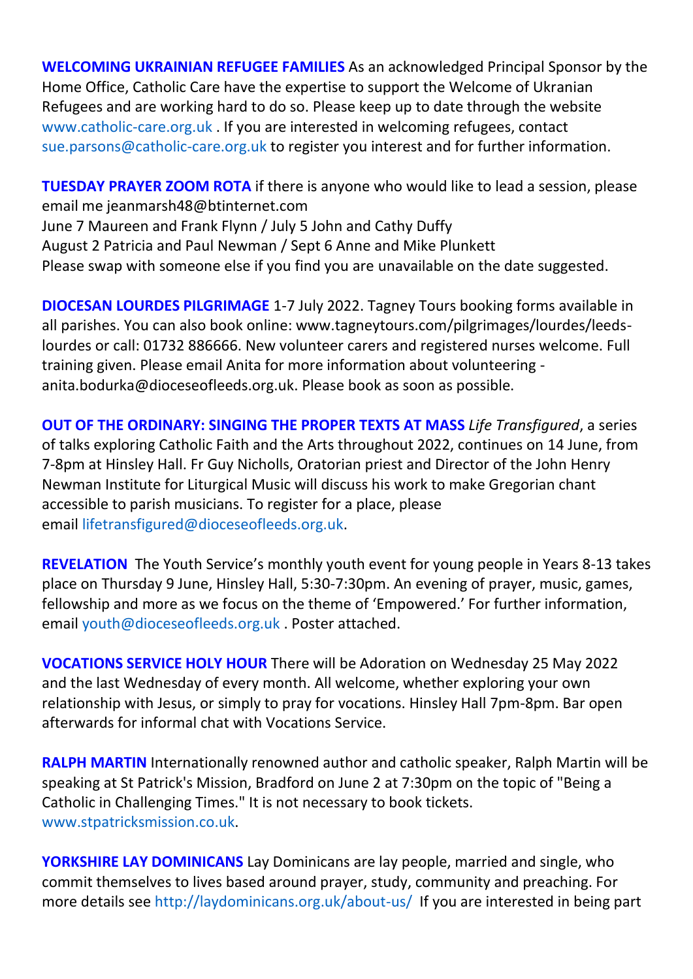**WELCOMING UKRAINIAN REFUGEE FAMILIES** As an acknowledged Principal Sponsor by the Home Office, Catholic Care have the expertise to support the Welcome of Ukranian Refugees and are working hard to do so. Please keep up to date through the website [www.catholic-care.org.uk](http://www.catholic-care.org.uk/) . If you are interested in welcoming refugees, contact [sue.parsons@catholic-care.org.uk](mailto:sue.parsons@catholic-care.org.uk) to register you interest and for further information.

**TUESDAY PRAYER ZOOM ROTA** if there is anyone who would like to lead a session, please email me jeanmarsh48@btinternet.com June 7 Maureen and Frank Flynn / July 5 John and Cathy Duffy August 2 Patricia and Paul Newman / Sept 6 Anne and Mike Plunkett Please swap with someone else if you find you are unavailable on the date suggested.

**DIOCESAN LOURDES PILGRIMAGE** 1-7 July 2022. Tagney Tours booking forms available in all parishes. You can also book online: www.tagneytours.com/pilgrimages/lourdes/leedslourdes or call: 01732 886666. New volunteer carers and registered nurses welcome. Full training given. Please email Anita for more information about volunteering anita.bodurka@dioceseofleeds.org.uk. Please book as soon as possible.

**OUT OF THE ORDINARY: SINGING THE PROPER TEXTS AT MASS** *Life Transfigured*, a series of talks exploring Catholic Faith and the Arts throughout 2022, continues on 14 June, from 7-8pm at Hinsley Hall. Fr Guy Nicholls, Oratorian priest and Director of the John Henry Newman Institute for Liturgical Music will discuss his work to make Gregorian chant accessible to parish musicians. To register for a place, please email [lifetransfigured@dioceseofleeds.org.uk.](mailto:lifetransfigured@dioceseofleeds.org.uk)

**REVELATION** The Youth Service's monthly youth event for young people in Years 8-13 takes place on Thursday 9 June, Hinsley Hall, 5:30-7:30pm. An evening of prayer, music, games, fellowship and more as we focus on the theme of 'Empowered.' For further information, email [youth@dioceseofleeds.org.uk](mailto:youth@dioceseofleeds.org.uk) . Poster attached.

**VOCATIONS SERVICE HOLY HOUR** There will be Adoration on Wednesday 25 May 2022 and the last Wednesday of every month. All welcome, whether exploring your own relationship with Jesus, or simply to pray for vocations. Hinsley Hall 7pm-8pm. Bar open afterwards for informal chat with Vocations Service.

**RALPH MARTIN** Internationally renowned author and catholic speaker, Ralph Martin will be speaking at St Patrick's Mission, Bradford on June 2 at 7:30pm on the topic of "Being a Catholic in Challenging Times." It is not necessary to book tickets. [www.stpatricksmission.co.uk.](http://www.stpatricksmission.co.uk/)

**YORKSHIRE LAY DOMINICANS** Lay Dominicans are lay people, married and single, who commit themselves to lives based around prayer, study, community and preaching. For more details see [http://laydominicans.org.uk/about-us/](https://eu-west-1.protection.sophos.com/?d=outlook.com&u=aHR0cHM6Ly9uYW0xMi5zYWZlbGlua3MucHJvdGVjdGlvbi5vdXRsb29rLmNvbS8_dXJsPWh0dHAlM0ElMkYlMkZsYXlkb21pbmljYW5zLm9yZy51ayUyRmFib3V0LXVzJTJGJmRhdGE9MDUlN0MwMSU3QyU3QzQzOTA0NzFiMjg3ZTQ0NTRiZjMzMDhkYTMzM2FjNTYxJTdDODRkZjllN2ZlOWY2NDBhZmI0MzVhYWFhYWFhYWFhYWElN0MxJTdDMCU3QzYzNzg3ODYyNDc3NzA0MDEzNyU3Q1Vua25vd24lN0NUV0ZwYkdac2IzZDhleUpXSWpvaU1DNHdMakF3TURBaUxDSlFJam9pVjJsdU16SWlMQ0pCVGlJNklrMWhhV3dpTENKWFZDSTZNbjAlM0QlN0MzMDAwJTdDJTdDJTdDJnNkYXRhPUJNJTJCa01Qb0tKZml5MG1aTWg0UiUyQjZhS2hucUU1akJwU0w3QVAlMkZYeSUyRkxiRSUzRCZyZXNlcnZlZD0w&i=NWNmNjM5Zjk2M2EzYmMxNDI0YzEyMTQy&t=dFNJVFVMUXNrY0czMnFGZFVuM3pEdWlPenN6VjZaUENKRElINDVwUE5rcz0=&h=e5c248f6f29c48758b1647b0109c99e9) If you are interested in being part